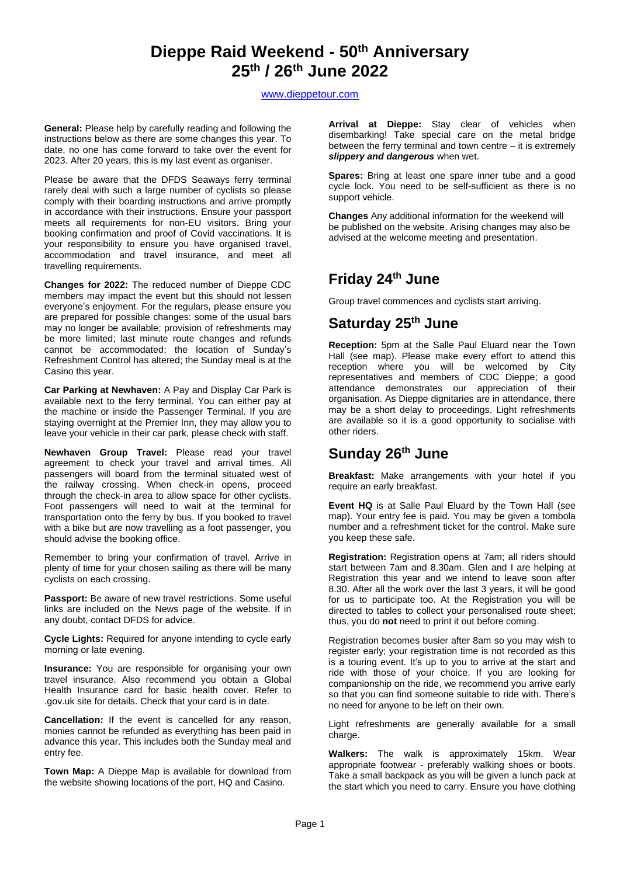# **Dieppe Raid Weekend - 50 th Anniversary 25 th / 26th June 2022**

### [www.dieppetour.com](http://www.dieppetour.com/)

**General:** Please help by carefully reading and following the instructions below as there are some changes this year. To date, no one has come forward to take over the event for 2023. After 20 years, this is my last event as organiser.

Please be aware that the DFDS Seaways ferry terminal rarely deal with such a large number of cyclists so please comply with their boarding instructions and arrive promptly in accordance with their instructions. Ensure your passport meets all requirements for non-EU visitors. Bring your booking confirmation and proof of Covid vaccinations. It is your responsibility to ensure you have organised travel, accommodation and travel insurance, and meet all travelling requirements.

**Changes for 2022:** The reduced number of Dieppe CDC members may impact the event but this should not lessen everyone's enjoyment. For the regulars, please ensure you are prepared for possible changes: some of the usual bars may no longer be available; provision of refreshments may be more limited; last minute route changes and refunds cannot be accommodated; the location of Sunday's Refreshment Control has altered; the Sunday meal is at the Casino this year.

**Car Parking at Newhaven:** A Pay and Display Car Park is available next to the ferry terminal. You can either pay at the machine or inside the Passenger Terminal. If you are staying overnight at the Premier Inn, they may allow you to leave your vehicle in their car park, please check with staff.

**Newhaven Group Travel:** Please read your travel agreement to check your travel and arrival times. All passengers will board from the terminal situated west of the railway crossing. When check-in opens, proceed through the check-in area to allow space for other cyclists. Foot passengers will need to wait at the terminal for transportation onto the ferry by bus. If you booked to travel with a bike but are now travelling as a foot passenger, you should advise the booking office.

Remember to bring your confirmation of travel. Arrive in plenty of time for your chosen sailing as there will be many cyclists on each crossing.

**Passport:** Be aware of new travel restrictions. Some useful links are included on the News page of the website. If in any doubt, contact DFDS for advice.

**Cycle Lights:** Required for anyone intending to cycle early morning or late evening.

**Insurance:** You are responsible for organising your own travel insurance. Also recommend you obtain a Global Health Insurance card for basic health cover. Refer to .gov.uk site for details. Check that your card is in date.

**Cancellation:** If the event is cancelled for any reason, monies cannot be refunded as everything has been paid in advance this year. This includes both the Sunday meal and entry fee.

**Town Map:** A Dieppe Map is available for download from the website showing locations of the port, HQ and Casino.

**Arrival at Dieppe:** Stay clear of vehicles when disembarking! Take special care on the metal bridge between the ferry terminal and town centre – it is extremely *slippery and dangerous* when wet.

**Spares:** Bring at least one spare inner tube and a good cycle lock. You need to be self-sufficient as there is no support vehicle.

**Changes** Any additional information for the weekend will be published on the website. Arising changes may also be advised at the welcome meeting and presentation.

## **Friday 24th June**

Group travel commences and cyclists start arriving.

## **Saturday 25 th June**

**Reception:** 5pm at the Salle Paul Eluard near the Town Hall (see map). Please make every effort to attend this reception where you will be welcomed by City representatives and members of CDC Dieppe; a good attendance demonstrates our appreciation of their organisation. As Dieppe dignitaries are in attendance, there may be a short delay to proceedings. Light refreshments are available so it is a good opportunity to socialise with other riders.

# **Sunday 26th June**

**Breakfast:** Make arrangements with your hotel if you require an early breakfast.

**Event HQ** is at Salle Paul Eluard by the Town Hall (see map). Your entry fee is paid. You may be given a tombola number and a refreshment ticket for the control. Make sure you keep these safe.

**Registration:** Registration opens at 7am; all riders should start between 7am and 8.30am. Glen and I are helping at Registration this year and we intend to leave soon after 8.30. After all the work over the last 3 years, it will be good for us to participate too. At the Registration you will be directed to tables to collect your personalised route sheet; thus, you do **not** need to print it out before coming.

Registration becomes busier after 8am so you may wish to register early; your registration time is not recorded as this is a touring event. It's up to you to arrive at the start and ride with those of your choice. If you are looking for companionship on the ride, we recommend you arrive early so that you can find someone suitable to ride with. There's no need for anyone to be left on their own.

Light refreshments are generally available for a small charge.

**Walkers:** The walk is approximately 15km. Wear appropriate footwear - preferably walking shoes or boots. Take a small backpack as you will be given a lunch pack at the start which you need to carry. Ensure you have clothing